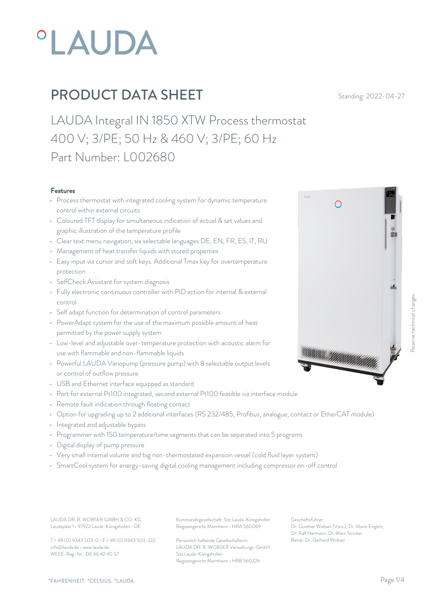

LAUDA Integral IN 1850 XTW Process thermostat 400 V; 3/PE; 50 Hz & 460 V; 3/PE; 60 Hz Part Number: L002680

#### Features

- Process thermostat with integrated cooling system for dynamic temperature control within external circuits
- Coloured TFT display for simultaneous indication of actual & set values and graphic illustration of the temperature profile
- Clear text menu navigation, six selectable languages DE, EN, FR, ES, IT, RU
- Management of heat transfer liquids with stored properties
- Easy input via cursor and soft keys. Additional Tmax key for overtemperature protection
- SelfCheck Assistant for system diagnosis
- Fully electronic continuous controller with PID action for internal & external control
- Self adapt function for determination of control parameters
- PowerAdapt system for the use of the maximum possible amount of heat permitted by the power supply system
- Low-level and adjustable over-temperature protection with acoustic alarm for<br>use with flammable and non-flammable liquids<br>and context of coloctable output levels use with flammable and non-flammable liquids
- Powerful LAUDA Variopump (pressure pump) with 8 selectable output levels or control of outflow pressure
- USB and Ethernet interface equipped as standard
- Port for external Pt100 integrated, second external Pt100 feasible via interface module
- Remote fault indication through floating contact
- Option for upgrading up to 2 additional interfaces (RS 232/485, Profibus, analogue, contact or EtherCAT module)
- Integrated and adjustable bypass
- Programmer with 150 temperature/time segments that can be separated into 5 programs
- Digital display of pump pressure
- Very small internal volume and big non-thermostated expansion vessel (cold fluid layer system)
- SmartCool system for energy-saving digital cooling management including compressor on-off control

Laudaplatz 1 • 97922 Lauda-Königshofen • DE

T + 49 (0) 9343 503-0 • F + 49 (0) 9343 503-222 info@lauda.de • www.lauda.de WEEE-Reg-Nr.: DE 66 42 40 57

LAUDA DR. R. WOBSER GMBH & CO. KG Kommanditgesellschaft: Sitz Lauda-Königshofen Geschäftsführer: Registergericht Mannheim • HRA 560069

> Persönlich haftende Gesellschafterin: Beirat: Dr. Gerhard Wobse LAUDA DR. R. WOBSER Verwaltungs-GmbH Sitz Lauda-Königshofen Registergericht Mannheim • HRB 560226

Geschäftsführer: Dr. Gunther Wobser (Vors.), Dr. Mario Englert, Dr. Ralf Hermann, Dr. Marc Stricker

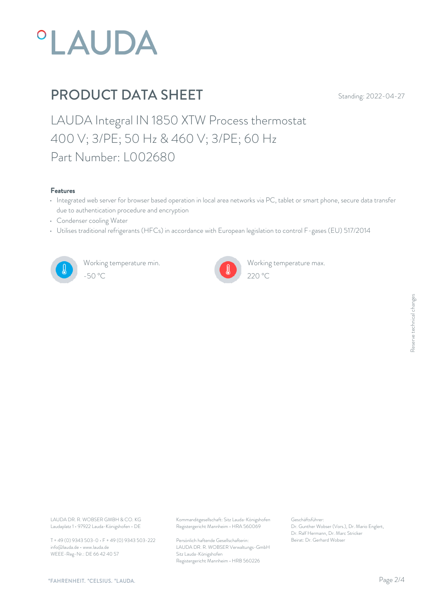

LAUDA Integral IN 1850 XTW Process thermostat 400 V; 3/PE; 50 Hz & 460 V; 3/PE; 60 Hz Part Number: L002680

#### Features

- Integrated web server for browser based operation in local area networks via PC, tablet or smart phone, secure data transfer due to authentication procedure and encryption
- Condenser cooling Water
- Utilises traditional refrigerants (HFCs) in accordance with European legislation to control F-gases (EU) 517/2014



Working temperature min. -50 °C 220 °C



Working temperature max.

Laudaplatz 1 • 97922 Lauda-Königshofen • DE

T + 49 (0) 9343 503-0 • F + 49 (0) 9343 503-222 info@lauda.de • www.lauda.de WEEE-Reg-Nr.: DE 66 42 40 57

LAUDA DR. R. WOBSER GMBH & CO. KG Kommanditgesellschaft: Sitz Lauda-Königshofen Geschäftsführer: Registergericht Mannheim • HRA 560069

> Persönlich haftende Gesellschafterin: Beirat: Dr. Gerhard Wobse LAUDA DR. R. WOBSER Verwaltungs-GmbH Sitz Lauda-Königshofen Registergericht Mannheim • HRB 560226

Geschäftsführer: Dr. Gunther Wobser (Vors.), Dr. Mario Englert, Dr. Ralf Hermann, Dr. Marc Stricker Beschäftsführer:<br>Dr. Gunther Wobser (Vors.), Dr. Mario Englert,<br>Dr. Ralf Hermann, Dr. Marc Stricker<br>Beirat: Dr. Gerhard Wobser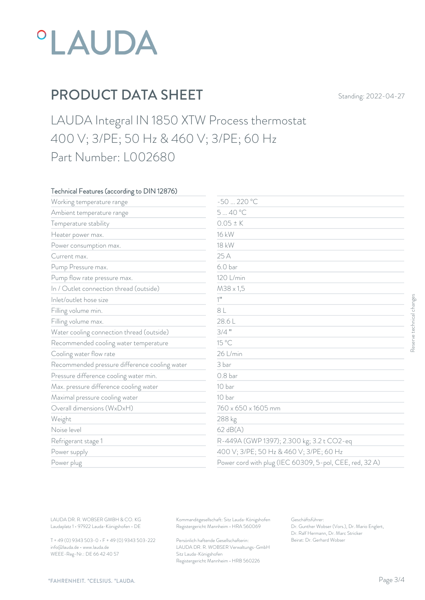

LAUDA Integral IN 1850 XTW Process thermostat 400 V; 3/PE; 50 Hz & 460 V; 3/PE; 60 Hz Part Number: L002680

### Technical Features (according to DIN 12876)

| Working temperature range                     | -50  220 °C         |                                                         |  |
|-----------------------------------------------|---------------------|---------------------------------------------------------|--|
| Ambient temperature range                     | 540 °C              |                                                         |  |
| Temperature stability                         | $0.05 \pm K$        |                                                         |  |
| Heater power max.                             | 16 kW               |                                                         |  |
| Power consumption max.                        | 18 kW               |                                                         |  |
| Current max.                                  | 25 A                |                                                         |  |
| Pump Pressure max.                            | 6.0 <sub>bar</sub>  |                                                         |  |
| Pump flow rate pressure max.                  | 120 L/min           |                                                         |  |
| In / Outlet connection thread (outside)       | $M38 \times 1,5$    |                                                         |  |
| Inlet/outlet hose size                        | $1$ <sup>11</sup>   |                                                         |  |
| Filling volume min.                           | 8 L                 |                                                         |  |
| Filling volume max.                           | 28.6L               |                                                         |  |
| Water cooling connection thread (outside)     | $3/4$ "             |                                                         |  |
| Recommended cooling water temperature         | 15 °C               |                                                         |  |
| Cooling water flow rate                       | 26 L/min            |                                                         |  |
| Recommended pressure difference cooling water | 3 bar               |                                                         |  |
| Pressure difference cooling water min.        | 0.8 <sub>bar</sub>  |                                                         |  |
| Max. pressure difference cooling water        | 10 bar              |                                                         |  |
| Maximal pressure cooling water                | 10 bar              |                                                         |  |
| Overall dimensions (WxDxH)                    | 760 x 650 x 1605 mm |                                                         |  |
| Weight                                        | 288 kg              |                                                         |  |
| Noise level                                   | $62$ dB(A)          |                                                         |  |
| Refrigerant stage 1                           |                     | R-449A (GWP 1397); 2.300 kg; 3.2 t CO2-eq               |  |
| Power supply                                  |                     | 400 V; 3/PE; 50 Hz & 460 V; 3/PE; 60 Hz                 |  |
| Power plug                                    |                     | Power cord with plug (IEC 60309, 5-pol, CEE, red, 32 A) |  |

T + 49 (0) 9343 503-0 • F + 49 (0) 9343 503-222 info@lauda.de • www.lauda.de WEEE-Reg-Nr.: DE 66 42 40 57

> Persönlich haftende Gesellschafterin: Beirat: Dr. Gerhard Wobse LAUDA DR. R. WOBSER Verwaltungs-GmbH Sitz Lauda-Königshofen Registergericht Mannheim • HRB 560226